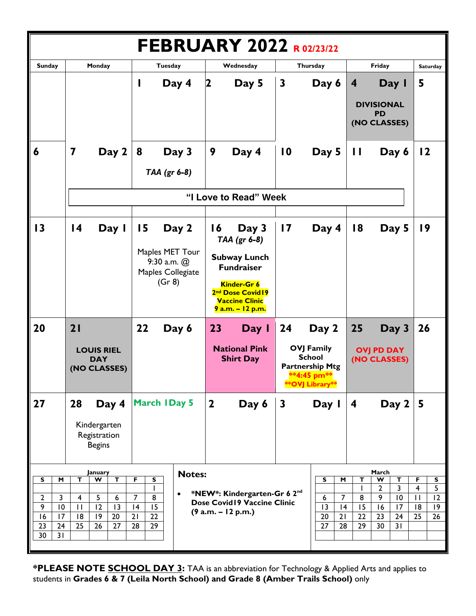| <b>FEBRUARY 2022 R02/23/22</b>                                                                                                                                    |                                                                                                                                                                 |                                                                                                 |                                                                                                                                                                     |                                                                                                |                                                                   |                                                                                                                                                                                           |                                                                             |
|-------------------------------------------------------------------------------------------------------------------------------------------------------------------|-----------------------------------------------------------------------------------------------------------------------------------------------------------------|-------------------------------------------------------------------------------------------------|---------------------------------------------------------------------------------------------------------------------------------------------------------------------|------------------------------------------------------------------------------------------------|-------------------------------------------------------------------|-------------------------------------------------------------------------------------------------------------------------------------------------------------------------------------------|-----------------------------------------------------------------------------|
| <b>Sunday</b>                                                                                                                                                     | Monday                                                                                                                                                          | Tuesday                                                                                         | Wednesday                                                                                                                                                           | Thursday                                                                                       |                                                                   | Friday                                                                                                                                                                                    | <b>Saturday</b>                                                             |
|                                                                                                                                                                   |                                                                                                                                                                 | Day 4                                                                                           | Day 5<br>2                                                                                                                                                          | $\mathbf{3}$                                                                                   | Day 6                                                             | Day I<br>4<br><b>DIVISIONAL</b><br><b>PD</b><br>(NO CLASSES)                                                                                                                              | 5                                                                           |
| 6                                                                                                                                                                 | $\overline{\mathbf{7}}$<br>Day 2                                                                                                                                | 8<br>Day 3<br>TAA (gr 6-8)                                                                      | 9<br>Day 4                                                                                                                                                          | $\overline{10}$                                                                                | Day 5                                                             | П<br>Day 6                                                                                                                                                                                | $\overline{2}$                                                              |
|                                                                                                                                                                   | "I Love to Read" Week                                                                                                                                           |                                                                                                 |                                                                                                                                                                     |                                                                                                |                                                                   |                                                                                                                                                                                           |                                                                             |
| 13                                                                                                                                                                | $\overline{14}$<br>Day I                                                                                                                                        | 15<br>Day 2<br>Maples MET Tour<br>$9:30$ a.m. $@$<br>Maples Collegiate<br>(Gr 8)                | Day 3<br>$\overline{6}$<br>TAA (gr 6-8)<br><b>Subway Lunch</b><br><b>Fundraiser</b><br>Kinder-Gr 6<br>2nd Dose Covid19<br><b>Vaccine Clinic</b><br>9 a.m. - 12 p.m. | $\overline{17}$                                                                                | Day 4                                                             | 18<br>Day 5                                                                                                                                                                               | 19                                                                          |
| 20                                                                                                                                                                | 21                                                                                                                                                              | 22<br>Day 6                                                                                     | 23<br>Day I                                                                                                                                                         | 24                                                                                             | Day 2                                                             | 25<br>Day 3                                                                                                                                                                               | 26                                                                          |
|                                                                                                                                                                   | <b>LOUIS RIEL</b><br><b>DAY</b><br>(NO CLASSES)                                                                                                                 |                                                                                                 | <b>National Pink</b><br><b>Shirt Day</b>                                                                                                                            | <b>OVJ Family</b><br><b>School</b><br><b>Partnership Mtg</b><br>**4:45 pm**<br>**OVJ Library** |                                                                   | <b>OVJ PD DAY</b><br>(NO CLASSES)                                                                                                                                                         |                                                                             |
| 27                                                                                                                                                                | 28<br>Day 4<br>Kindergarten<br>Registration<br><b>Begins</b>                                                                                                    | <b>March IDay 5</b>                                                                             | $\mathbf{2}$<br>Day 6                                                                                                                                               | $\mathbf{3}$                                                                                   | Day I                                                             | Day $2$<br>$\overline{\mathbf{4}}$                                                                                                                                                        | 5                                                                           |
| $\overline{\mathsf{s}}$<br>M<br>$\overline{2}$<br>$\mathbf{3}$<br>$\overline{9}$<br>$\overline{10}$<br>$\overline{16}$<br>17<br>23<br>24<br>$\overline{30}$<br>31 | January<br>т<br>W<br>$\mathbf T$<br>5<br>$\overline{\mathbf{4}}$<br>6<br>$\overline{12}$<br>13<br>$\mathbf{H}$<br>$\overline{20}$<br> 8<br> 9<br>25<br>26<br>27 | <b>Notes:</b><br>F<br>S<br>$\bullet$<br>$\overline{7}$<br>8<br> 4<br>15<br>21<br>22<br>28<br>29 | *NEW*: Kindergarten-Gr 6 2nd<br>Dose Covid19 Vaccine Clinic<br>$(9 a.m. - 12 p.m.)$                                                                                 |                                                                                                | S<br>M<br>$\overline{7}$<br>6<br>13<br> 4<br>20<br>21<br>27<br>28 | March<br>$\mathbf T$<br>$\boldsymbol{\mathsf{w}}$<br>T<br>$\overline{\mathbf{3}}$<br>$\overline{2}$<br><sup>1</sup><br>9<br>10<br>8<br>15<br>16<br>17<br>22<br>23<br>24<br>29<br>30<br>31 | F<br>s<br>5<br>$\overline{4}$<br>12<br>$\mathbf{H}$<br> 8<br> 9<br>25<br>26 |

**\*PLEASE NOTE SCHOOL DAY 3:** TAA is an abbreviation for Technology & Applied Arts and applies to students in **Grades 6 & 7 (Leila North School) and Grade 8 (Amber Trails School)** only